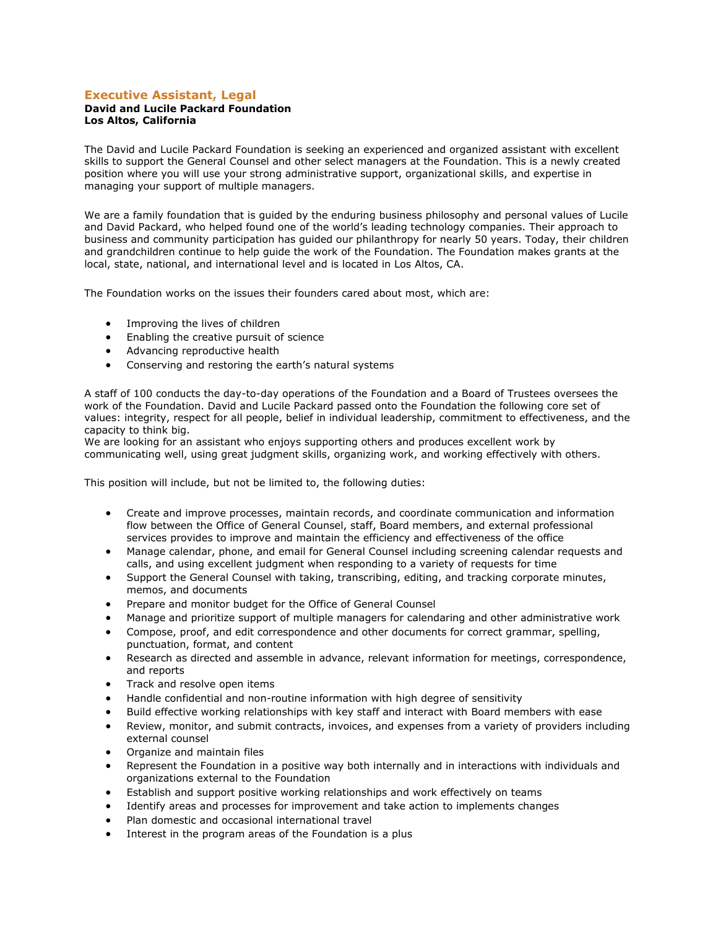# **Executive Assistant, Legal**

#### **David and Lucile Packard Foundation Los Altos, California**

The David and Lucile Packard Foundation is seeking an experienced and organized assistant with excellent skills to support the General Counsel and other select managers at the Foundation. This is a newly created position where you will use your strong administrative support, organizational skills, and expertise in managing your support of multiple managers.

We are a family foundation that is guided by the enduring business philosophy and personal values of Lucile and David Packard, who helped found one of the world's leading technology companies. Their approach to business and community participation has guided our philanthropy for nearly 50 years. Today, their children and grandchildren continue to help guide the work of the Foundation. The Foundation makes grants at the local, state, national, and international level and is located in Los Altos, CA.

The Foundation works on the issues their founders cared about most, which are:

- Improving the lives of children
- **•** Enabling the creative pursuit of science
- Advancing reproductive health
- Conserving and restoring the earth's natural systems

A staff of 100 conducts the day-to-day operations of the Foundation and a Board of Trustees oversees the work of the Foundation. David and Lucile Packard passed onto the Foundation the following core set of values: integrity, respect for all people, belief in individual leadership, commitment to effectiveness, and the capacity to think big.

We are looking for an assistant who enjoys supporting others and produces excellent work by communicating well, using great judgment skills, organizing work, and working effectively with others.

This position will include, but not be limited to, the following duties:

- Create and improve processes, maintain records, and coordinate communication and information flow between the Office of General Counsel, staff, Board members, and external professional services provides to improve and maintain the efficiency and effectiveness of the office
- Manage calendar, phone, and email for General Counsel including screening calendar requests and calls, and using excellent judgment when responding to a variety of requests for time
- Support the General Counsel with taking, transcribing, editing, and tracking corporate minutes, memos, and documents
- Prepare and monitor budget for the Office of General Counsel
- Manage and prioritize support of multiple managers for calendaring and other administrative work
- Compose, proof, and edit correspondence and other documents for correct grammar, spelling, punctuation, format, and content
- Research as directed and assemble in advance, relevant information for meetings, correspondence, and reports
- Track and resolve open items
- Handle confidential and non-routine information with high degree of sensitivity
- Build effective working relationships with key staff and interact with Board members with ease
- Review, monitor, and submit contracts, invoices, and expenses from a variety of providers including external counsel
- Organize and maintain files
- Represent the Foundation in a positive way both internally and in interactions with individuals and organizations external to the Foundation
- Establish and support positive working relationships and work effectively on teams
- Identify areas and processes for improvement and take action to implements changes
- Plan domestic and occasional international travel
- Interest in the program areas of the Foundation is a plus